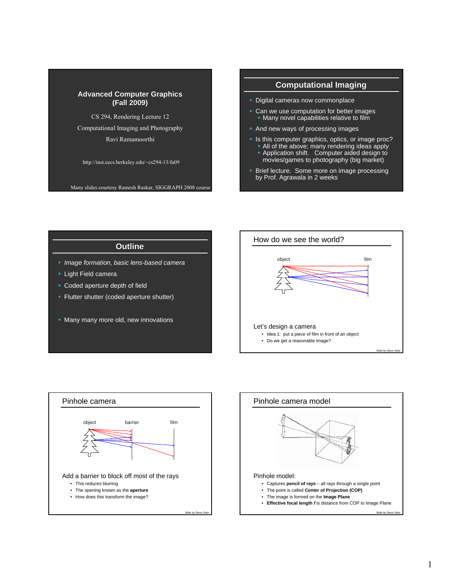#### **Advanced Computer Graphics (Fall 2009) (Fall 2009)**

CS 294, Rendering Lecture 12

Computational Imaging and Photography

Ravi Ramamoorthi

http://inst.eecs.berkeley.edu/~cs294-13/fa09

Many slides courtesy Ramesh Raskar, SIGGRAPH 2008 course

## **Computational Imaging**

- **Digital cameras now commonplace**
- Can we use computation for better images Many novel capabilities relative to film
- **And new ways of processing images**
- Is this computer graphics, optics, or image proc?
	- All of the above; many rendering ideas apply **Application shift.** Computer aided design to
	- movies/games to photography (big market)
- **Brief lecture.** Some more on image processing by Prof. Agrawala in 2 weeks

### **Outline**

- *Image formation, basic lens-based camera*
- **Light Field camera**
- **Coded aperture depth of field**
- **Flutter shutter (coded aperture shutter)**
- **Many many more old, new innovations**





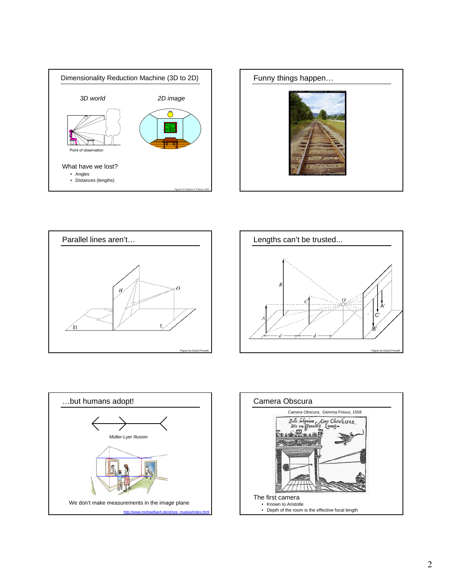









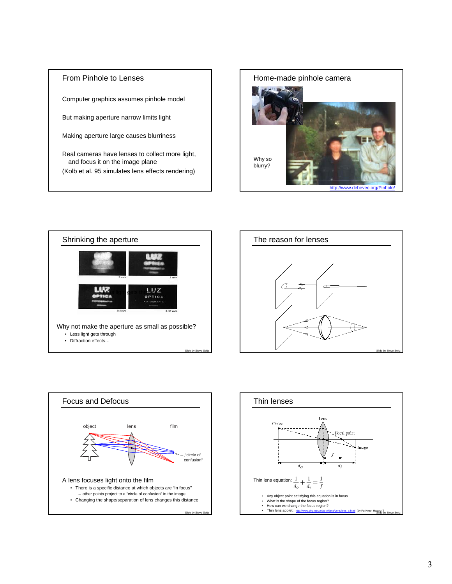### From Pinhole to Lenses

Computer graphics assumes pinhole model

But making aperture narrow limits light

Making aperture large causes blurriness

Real cameras have lenses to collect more light, and focus it on the image plane (Kolb et al. 95 simulates lens effects rendering)









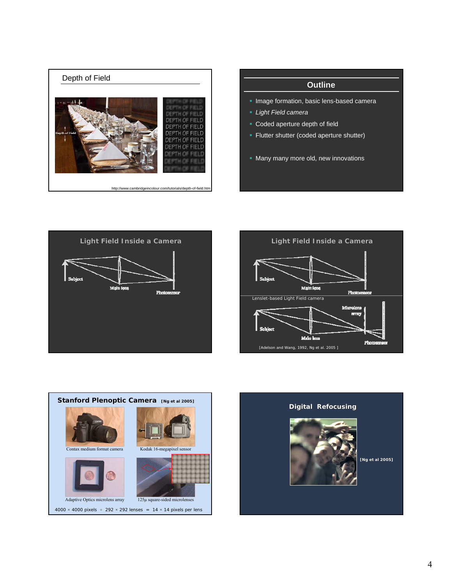

## **Outline**

- **Image formation, basic lens-based camera**
- *Light Field camera*
- **Coded aperture depth of field**
- **Filutter shutter (coded aperture shutter)**
- **Many many more old, new innovations**







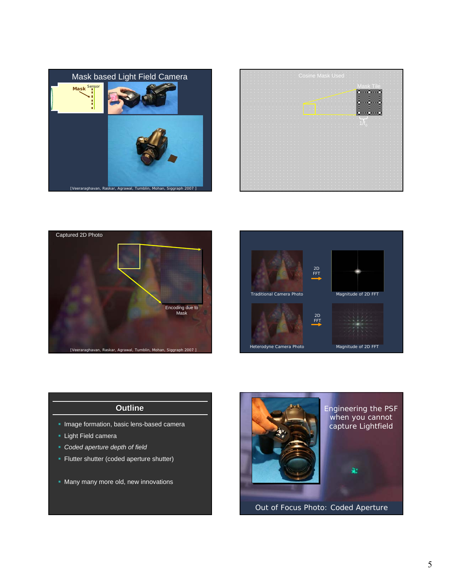







### **Outline**

- **Image formation, basic lens-based camera**
- **Light Field camera**
- *Coded aperture depth of field*
- **Flutter shutter (coded aperture shutter)**
- **Many many more old, new innovations**



Out of Focus Photo: Coded Aperture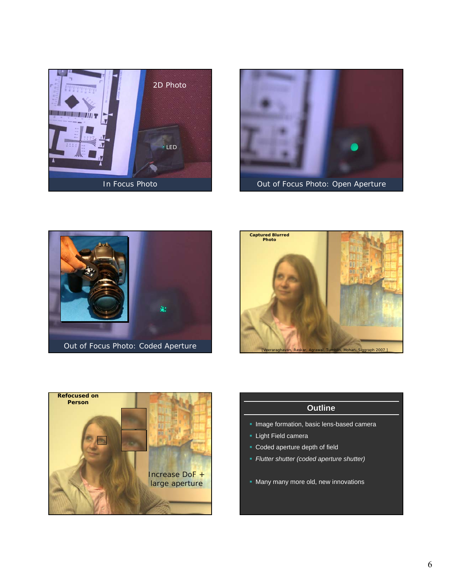









# **Outline**

- **Image formation, basic lens-based camera**
- **Light Field camera**
- Coded aperture depth of field
- *Flutter shutter (coded aperture shutter)*
- **Many many more old, new innovations**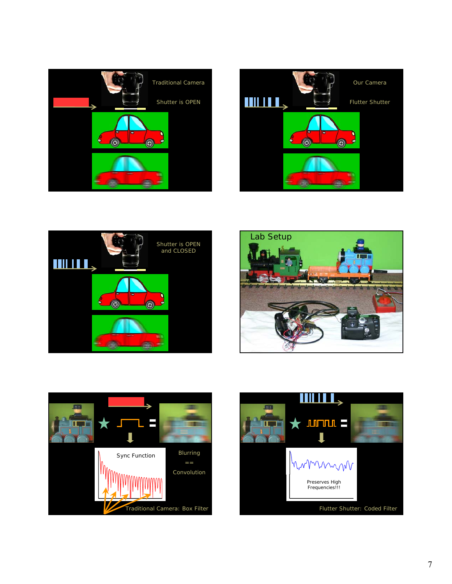